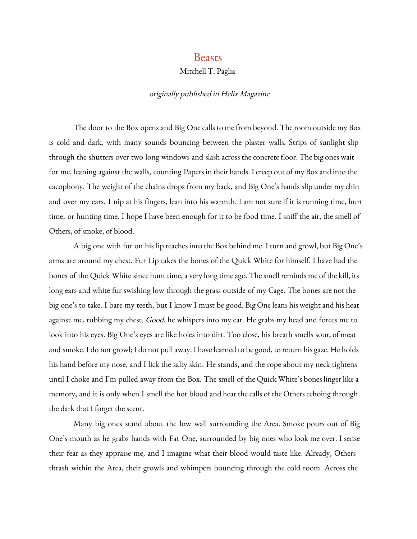## Beasts

## Mitchell T. Paglia

## originally published in Helix Magazine

The door to the Box opens and Big One calls to me from beyond. The room outside my Box is cold and dark, with many sounds bouncing between the plaster walls. Strips of sunlight slip through the shutters over two long windows and slash across the concrete floor. The big ones wait for me, leaning against the walls, counting Papers in their hands. Icreep out of my Box and into the cacophony. The weight of the chains drops from my back, and Big One's hands slip under my chin and over my ears. I nip at his fingers, lean into his warmth. I am not sure if it is running time, hurt time, or hunting time. I hope I have been enough for it to be food time. I sniff the air, the smell of Others, of smoke, of blood.

A big one with fur on his lip reaches into the Box behind me. I turn and growl, but Big One's arms are around my chest. Fur Lip takes the bones of the Quick White for himself. I have had the bones of the Quick White since hunt time, a very long time ago. The smell reminds me of the kill, its long ears and white fur swishing low through the grass outside of my Cage. The bones are not the big one's to take. I bare my teeth, but I know I must be good. Big One leans his weight and his heat against me, rubbing my chest. Good, he whispers into my ear. He grabs my head and forces me to look into his eyes. Big One's eyes are like holes into dirt. Too close, his breath smells sour, of meat and smoke. I do not growl; I do not pull away. I have learned to be good, to return his gaze. He holds his hand before my nose, and I lick the salty skin. He stands, and the rope about my neck tightens until I choke and I'm pulled away from the Box. The smell of the Quick White's bones linger likea memory, and it is only when I smell the hot blood and hear the calls of the Others echoing through the dark that I forget the scent.

Many big ones stand about the low wall surrounding the Area. Smoke pours out of Big One's mouth as he grabs hands with Fat One, surrounded by big ones who look me over. I sense their fear as they appraise me, and I imagine what their blood would taste like. Already, Others thrash within the Area, their growls and whimpers bouncing through the cold room. Across the